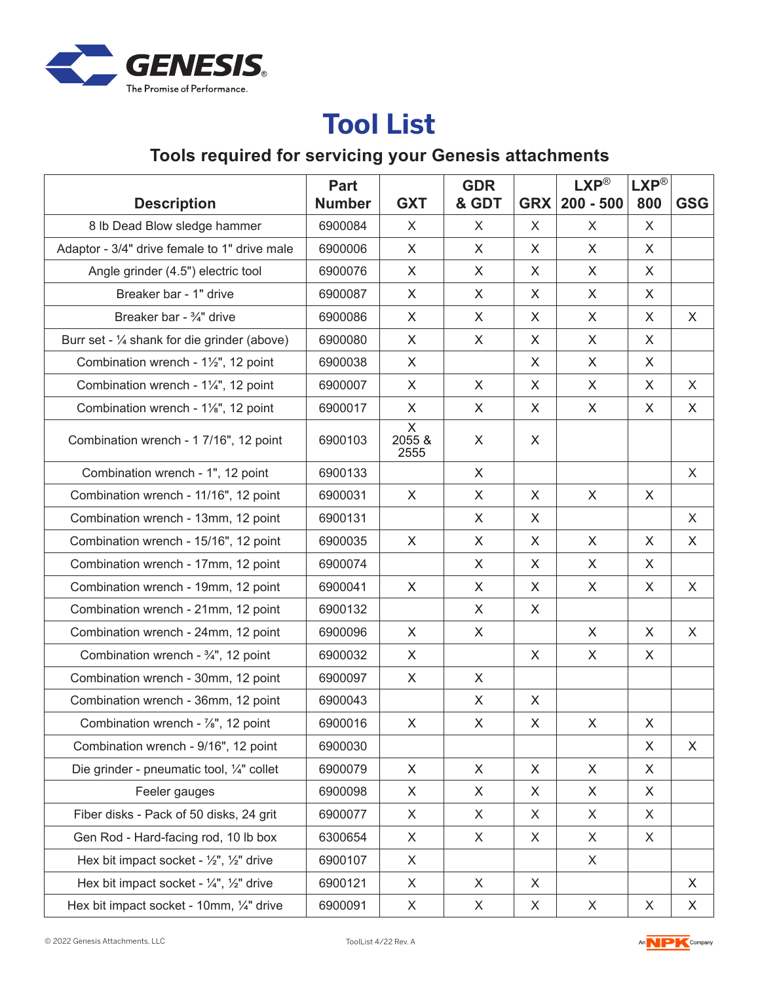

## **Tool List**

## **Tools required for servicing your Genesis attachments**

|                                                             | <b>Part</b>   |                     | <b>GDR</b> |            | $LXP^{\circledR}$ | $LXP^{\circledR}$ |            |
|-------------------------------------------------------------|---------------|---------------------|------------|------------|-------------------|-------------------|------------|
| <b>Description</b>                                          | <b>Number</b> | <b>GXT</b>          | & GDT      | <b>GRX</b> | $200 - 500$       | 800               | <b>GSG</b> |
| 8 lb Dead Blow sledge hammer                                | 6900084       | X                   | X          | X          | X                 | X                 |            |
| Adaptor - 3/4" drive female to 1" drive male                | 6900006       | X                   | X          | X          | X                 | X                 |            |
| Angle grinder (4.5") electric tool                          | 6900076       | X                   | X          | X          | X                 | X                 |            |
| Breaker bar - 1" drive                                      | 6900087       | X                   | X          | X          | X                 | X                 |            |
| Breaker bar - 3/4" drive                                    | 6900086       | X                   | X          | X          | X                 | X                 | X          |
| Burr set - $\frac{1}{4}$ shank for die grinder (above)      | 6900080       | X                   | X          | X          | X                 | X                 |            |
| Combination wrench - 1½", 12 point                          | 6900038       | X                   |            | X          | X                 | X                 |            |
| Combination wrench - 1¼", 12 point                          | 6900007       | $\mathsf{X}$        | X          | X          | $\mathsf{X}$      | X                 | X          |
| Combination wrench - 1%", 12 point                          | 6900017       | X                   | X          | X          | X                 | X                 | X          |
| Combination wrench - 1 7/16", 12 point                      | 6900103       | X<br>2055 &<br>2555 | X          | X          |                   |                   |            |
| Combination wrench - 1", 12 point                           | 6900133       |                     | X          |            |                   |                   | X          |
| Combination wrench - 11/16", 12 point                       | 6900031       | X                   | X          | X          | X                 | X                 |            |
| Combination wrench - 13mm, 12 point                         | 6900131       |                     | X          | X          |                   |                   | X          |
| Combination wrench - 15/16", 12 point                       | 6900035       | X                   | X          | X          | X                 | X                 | X          |
| Combination wrench - 17mm, 12 point                         | 6900074       |                     | X          | X          | X                 | X                 |            |
| Combination wrench - 19mm, 12 point                         | 6900041       | X                   | X          | X          | X                 | $\mathsf{X}$      | X          |
| Combination wrench - 21mm, 12 point                         | 6900132       |                     | X          | X          |                   |                   |            |
| Combination wrench - 24mm, 12 point                         | 6900096       | X                   | X          |            | $\mathsf{X}$      | X                 | X          |
| Combination wrench - $\frac{3}{4}$ ", 12 point              | 6900032       | X                   |            | X          | X                 | X                 |            |
| Combination wrench - 30mm, 12 point                         | 6900097       | X                   | X          |            |                   |                   |            |
| Combination wrench - 36mm, 12 point                         | 6900043       |                     | X          | X          |                   |                   |            |
| Combination wrench - $\frac{7}{8}$ ", 12 point              | 6900016       | X                   | X          | X          | X                 | X                 |            |
| Combination wrench - 9/16", 12 point                        | 6900030       |                     |            |            |                   | X                 | X          |
| Die grinder - pneumatic tool, 1/4" collet                   | 6900079       | X                   | X          | X          | X                 | X                 |            |
| Feeler gauges                                               | 6900098       | X                   | X          | X          | X                 | X                 |            |
| Fiber disks - Pack of 50 disks, 24 grit                     | 6900077       | X                   | X          | X          | X                 | X                 |            |
| Gen Rod - Hard-facing rod, 10 lb box                        | 6300654       | X                   | X          | X          | X                 | X                 |            |
| Hex bit impact socket - $\frac{1}{2}$ , $\frac{1}{2}$ drive | 6900107       | X                   |            |            | X                 |                   |            |
| Hex bit impact socket - $\frac{1}{4}$ , $\frac{1}{2}$ drive | 6900121       | X                   | X          | X          |                   |                   | X          |
| Hex bit impact socket - 10mm, 1/4" drive                    | 6900091       | X                   | X          | X          | X                 | X                 | X          |

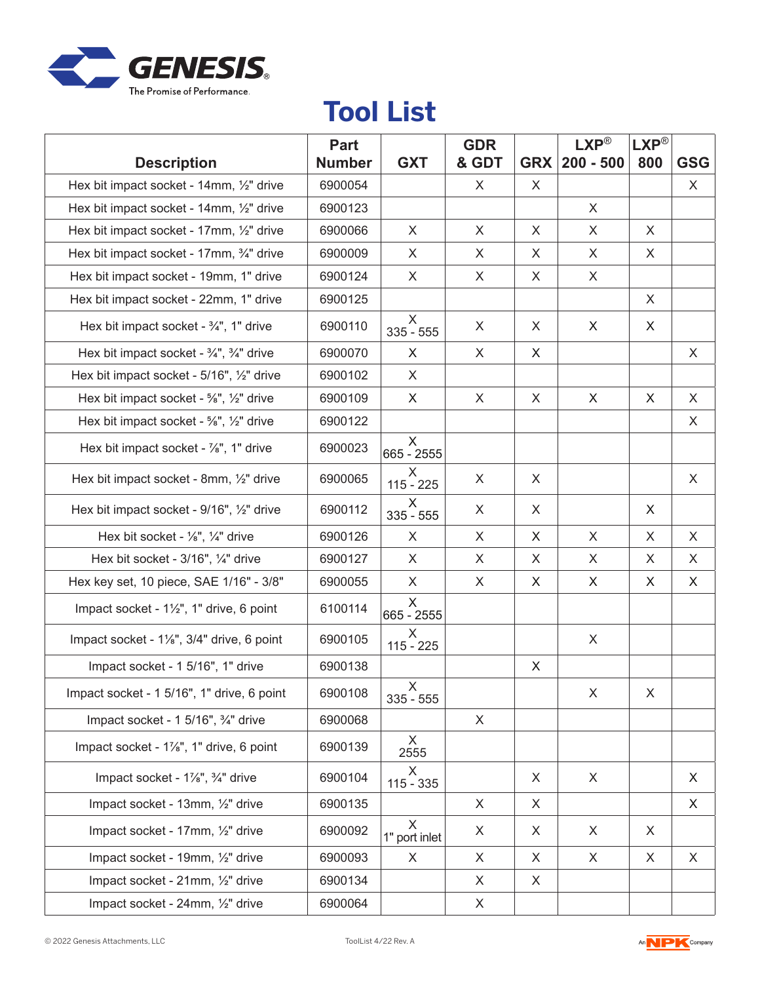

## **Tool List**

| <b>Description</b>                                             | Part<br><b>Number</b> | <b>GXT</b>         | <b>GDR</b><br>& GDT | <b>GRX</b> | $LXP^{\circledR}$<br>$200 - 500$ | <b>LXP®</b><br>800 | <b>GSG</b> |
|----------------------------------------------------------------|-----------------------|--------------------|---------------------|------------|----------------------------------|--------------------|------------|
| Hex bit impact socket - 14mm, 1/2" drive                       | 6900054               |                    | X                   | X          |                                  |                    | X          |
| Hex bit impact socket - 14mm, 1/2" drive                       | 6900123               |                    |                     |            | X                                |                    |            |
| Hex bit impact socket - 17mm, 1/2" drive                       | 6900066               | X                  | $\sf X$             | X          | X                                | X                  |            |
| Hex bit impact socket - 17mm, 3/4" drive                       | 6900009               | X                  | X                   | X          | X                                | X                  |            |
| Hex bit impact socket - 19mm, 1" drive                         | 6900124               | X                  | X                   | X          | X                                |                    |            |
| Hex bit impact socket - 22mm, 1" drive                         | 6900125               |                    |                     |            |                                  | X                  |            |
| Hex bit impact socket - 3/4", 1" drive                         | 6900110               | X<br>$335 - 555$   | X                   | X          | X                                | X                  |            |
| Hex bit impact socket - $\frac{3}{4}$ ", $\frac{3}{4}$ " drive | 6900070               | X                  | X                   | X          |                                  |                    | X          |
| Hex bit impact socket - 5/16", 1/2" drive                      | 6900102               | X                  |                     |            |                                  |                    |            |
| Hex bit impact socket - %", 1/2" drive                         | 6900109               | X                  | $\sf X$             | $\times$   | X                                | X                  | X          |
| Hex bit impact socket - %", 1/2" drive                         | 6900122               |                    |                     |            |                                  |                    | X          |
| Hex bit impact socket - 1/8", 1" drive                         | 6900023               | X<br>665 - 2555    |                     |            |                                  |                    |            |
| Hex bit impact socket - 8mm, 1/2" drive                        | 6900065               | X.<br>$115 - 225$  | X                   | X          |                                  |                    | X          |
| Hex bit impact socket - 9/16", 1/2" drive                      | 6900112               | X<br>$335 - 555$   | X                   | X          |                                  | X                  |            |
| Hex bit socket - $\frac{1}{8}$ ", $\frac{1}{4}$ " drive        | 6900126               | X                  | X                   | X          | X                                | X                  | X          |
| Hex bit socket - 3/16", 1/4" drive                             | 6900127               | X.                 | X                   | X          | X                                | X                  | X          |
| Hex key set, 10 piece, SAE 1/16" - 3/8"                        | 6900055               | X                  | X                   | X          | X                                | X                  | X          |
| Impact socket - 1½", 1" drive, 6 point                         | 6100114               | X<br>665 - 2555    |                     |            |                                  |                    |            |
| Impact socket - 1%", 3/4" drive, 6 point                       | 6900105               | X<br>$115 - 225$   |                     |            | X                                |                    |            |
| Impact socket - 1 5/16", 1" drive                              | 6900138               |                    |                     | X          |                                  |                    |            |
| Impact socket - 1 5/16", 1" drive, 6 point                     | 6900108               | X<br>$335 - 555$   |                     |            | X                                | X                  |            |
| Impact socket - 1 5/16", 3/4" drive                            | 6900068               |                    | X                   |            |                                  |                    |            |
| Impact socket - 1%", 1" drive, 6 point                         | 6900139               | X<br>2555          |                     |            |                                  |                    |            |
| Impact socket - 1%", 3/4" drive                                | 6900104               | X.<br>$115 - 335$  |                     | X          | X                                |                    | X          |
| Impact socket - 13mm, 1/2" drive                               | 6900135               |                    | X                   | X          |                                  |                    | X          |
| Impact socket - 17mm, 1/2" drive                               | 6900092               | X<br>1" port inlet | X                   | X          | X                                | X                  |            |
| Impact socket - 19mm, 1/2" drive                               | 6900093               | X                  | X                   | X          | X                                | X                  | X          |
| Impact socket - 21mm, 1/2" drive                               | 6900134               |                    | X                   | X          |                                  |                    |            |
| Impact socket - 24mm, 1/2" drive                               | 6900064               |                    | X                   |            |                                  |                    |            |